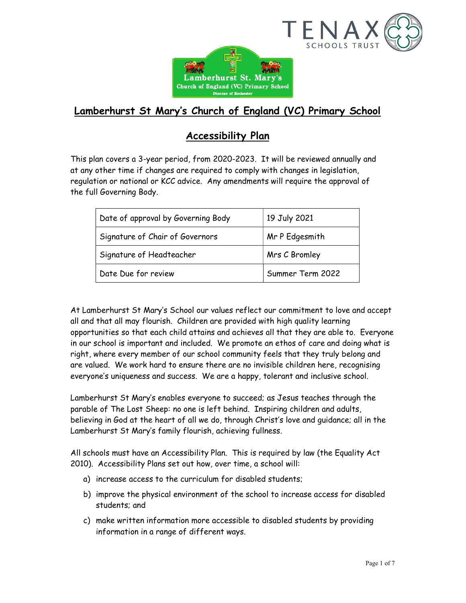



## Lamberhurst St Mary's Church of England (VC) Primary School

## Accessibility Plan

This plan covers a 3-year period, from 2020-2023. It will be reviewed annually and at any other time if changes are required to comply with changes in legislation, regulation or national or KCC advice. Any amendments will require the approval of the full Governing Body.

| Date of approval by Governing Body | 19 July 2021     |
|------------------------------------|------------------|
| Signature of Chair of Governors    | Mr P Edgesmith   |
| Signature of Headteacher           | Mrs C Bromley    |
| Date Due for review                | Summer Term 2022 |

At Lamberhurst St Mary's School our values reflect our commitment to love and accept all and that all may flourish. Children are provided with high quality learning opportunities so that each child attains and achieves all that they are able to. Everyone in our school is important and included. We promote an ethos of care and doing what is right, where every member of our school community feels that they truly belong and are valued. We work hard to ensure there are no invisible children here, recognising everyone's uniqueness and success. We are a happy, tolerant and inclusive school.

Lamberhurst St Mary's enables everyone to succeed; as Jesus teaches through the parable of The Lost Sheep: no one is left behind. Inspiring children and adults, believing in God at the heart of all we do, through Christ's love and guidance; all in the Lamberhurst St Mary's family flourish, achieving fullness.

All schools must have an Accessibility Plan. This is required by law (the Equality Act 2010). Accessibility Plans set out how, over time, a school will:

- a) increase access to the curriculum for disabled students;
- b) improve the physical environment of the school to increase access for disabled students; and
- c) make written information more accessible to disabled students by providing information in a range of different ways.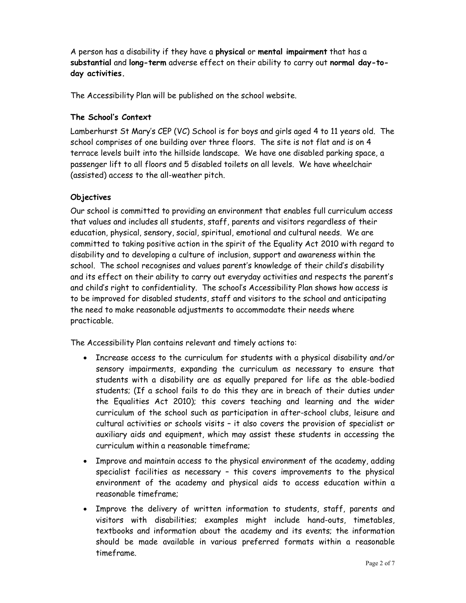A person has a disability if they have a physical or mental impairment that has a substantial and long-term adverse effect on their ability to carry out normal day-today activities.

The Accessibility Plan will be published on the school website.

### The School's Context

Lamberhurst St Mary's CEP (VC) School is for boys and girls aged 4 to 11 years old. The school comprises of one building over three floors. The site is not flat and is on 4 terrace levels built into the hillside landscape. We have one disabled parking space, a passenger lift to all floors and 5 disabled toilets on all levels. We have wheelchair (assisted) access to the all-weather pitch.

### **Objectives**

Our school is committed to providing an environment that enables full curriculum access that values and includes all students, staff, parents and visitors regardless of their education, physical, sensory, social, spiritual, emotional and cultural needs. We are committed to taking positive action in the spirit of the Equality Act 2010 with regard to disability and to developing a culture of inclusion, support and awareness within the school. The school recognises and values parent's knowledge of their child's disability and its effect on their ability to carry out everyday activities and respects the parent's and child's right to confidentiality. The school's Accessibility Plan shows how access is to be improved for disabled students, staff and visitors to the school and anticipating the need to make reasonable adjustments to accommodate their needs where practicable.

The Accessibility Plan contains relevant and timely actions to:

- Increase access to the curriculum for students with a physical disability and/or sensory impairments, expanding the curriculum as necessary to ensure that students with a disability are as equally prepared for life as the able-bodied students; (If a school fails to do this they are in breach of their duties under the Equalities Act 2010); this covers teaching and learning and the wider curriculum of the school such as participation in after-school clubs, leisure and cultural activities or schools visits – it also covers the provision of specialist or auxiliary aids and equipment, which may assist these students in accessing the curriculum within a reasonable timeframe;
- Improve and maintain access to the physical environment of the academy, adding specialist facilities as necessary – this covers improvements to the physical environment of the academy and physical aids to access education within a reasonable timeframe;
- Improve the delivery of written information to students, staff, parents and visitors with disabilities; examples might include hand-outs, timetables, textbooks and information about the academy and its events; the information should be made available in various preferred formats within a reasonable timeframe.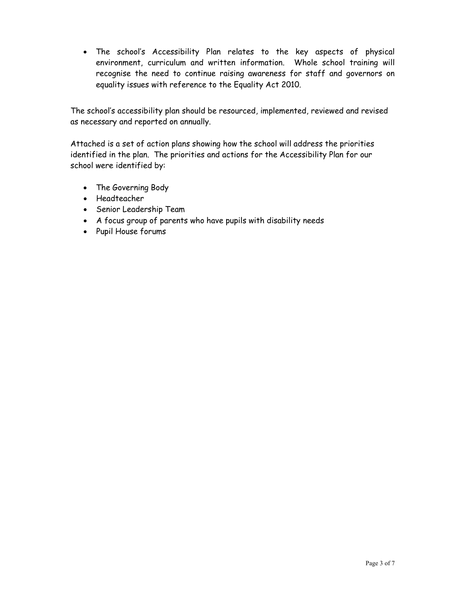The school's Accessibility Plan relates to the key aspects of physical environment, curriculum and written information. Whole school training will recognise the need to continue raising awareness for staff and governors on equality issues with reference to the Equality Act 2010.

The school's accessibility plan should be resourced, implemented, reviewed and revised as necessary and reported on annually.

Attached is a set of action plans showing how the school will address the priorities identified in the plan. The priorities and actions for the Accessibility Plan for our school were identified by:

- The Governing Body
- Headteacher
- Senior Leadership Team
- A focus group of parents who have pupils with disability needs
- Pupil House forums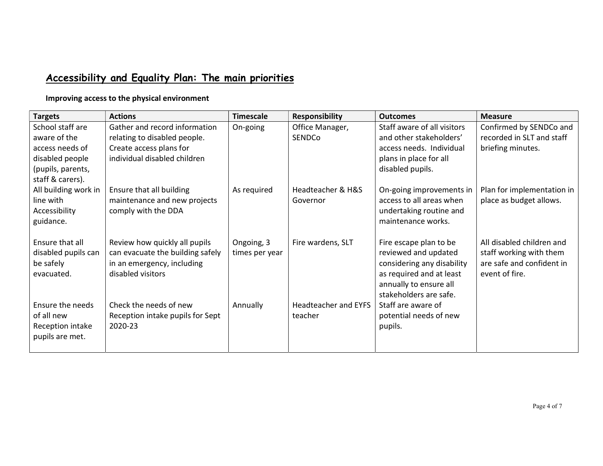# Accessibility and Equality Plan: The main priorities

### Improving access to the physical environment

| <b>Targets</b>       | <b>Actions</b>                   | <b>Timescale</b> | Responsibility       | <b>Outcomes</b>             | <b>Measure</b>             |
|----------------------|----------------------------------|------------------|----------------------|-----------------------------|----------------------------|
| School staff are     | Gather and record information    | On-going         | Office Manager,      | Staff aware of all visitors | Confirmed by SENDCo and    |
| aware of the         | relating to disabled people.     |                  | SENDCo               | and other stakeholders'     | recorded in SLT and staff  |
| access needs of      | Create access plans for          |                  |                      | access needs. Individual    | briefing minutes.          |
| disabled people      | individual disabled children     |                  |                      | plans in place for all      |                            |
| (pupils, parents,    |                                  |                  |                      | disabled pupils.            |                            |
| staff & carers).     |                                  |                  |                      |                             |                            |
| All building work in | Ensure that all building         | As required      | Headteacher & H&S    | On-going improvements in    | Plan for implementation in |
| line with            | maintenance and new projects     |                  | Governor             | access to all areas when    | place as budget allows.    |
| Accessibility        | comply with the DDA              |                  |                      | undertaking routine and     |                            |
| guidance.            |                                  |                  |                      | maintenance works.          |                            |
| Ensure that all      | Review how quickly all pupils    | Ongoing, 3       | Fire wardens, SLT    | Fire escape plan to be      | All disabled children and  |
| disabled pupils can  | can evacuate the building safely | times per year   |                      | reviewed and updated        | staff working with them    |
| be safely            | in an emergency, including       |                  |                      | considering any disability  | are safe and confident in  |
| evacuated.           | disabled visitors                |                  |                      | as required and at least    | event of fire.             |
|                      |                                  |                  |                      | annually to ensure all      |                            |
|                      |                                  |                  |                      | stakeholders are safe.      |                            |
| Ensure the needs     | Check the needs of new           | Annually         | Headteacher and EYFS | Staff are aware of          |                            |
| of all new           | Reception intake pupils for Sept |                  | teacher              | potential needs of new      |                            |
| Reception intake     | 2020-23                          |                  |                      | pupils.                     |                            |
| pupils are met.      |                                  |                  |                      |                             |                            |
|                      |                                  |                  |                      |                             |                            |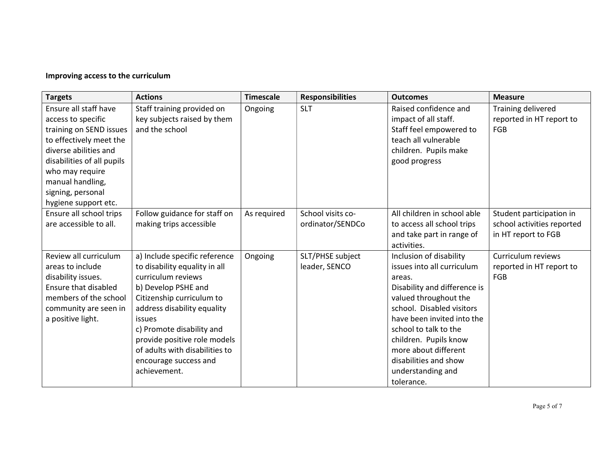### Improving access to the curriculum

| <b>Targets</b>                                                                                                                                                                                                                               | <b>Actions</b>                                                                                                                                                                                                                                                                                                                   | <b>Timescale</b> | <b>Responsibilities</b>               | <b>Outcomes</b>                                                                                                                                                                                                                                                                                                           | <b>Measure</b>                                                                |
|----------------------------------------------------------------------------------------------------------------------------------------------------------------------------------------------------------------------------------------------|----------------------------------------------------------------------------------------------------------------------------------------------------------------------------------------------------------------------------------------------------------------------------------------------------------------------------------|------------------|---------------------------------------|---------------------------------------------------------------------------------------------------------------------------------------------------------------------------------------------------------------------------------------------------------------------------------------------------------------------------|-------------------------------------------------------------------------------|
| Ensure all staff have<br>access to specific<br>training on SEND issues<br>to effectively meet the<br>diverse abilities and<br>disabilities of all pupils<br>who may require<br>manual handling,<br>signing, personal<br>hygiene support etc. | Staff training provided on<br>key subjects raised by them<br>and the school                                                                                                                                                                                                                                                      | Ongoing          | <b>SLT</b>                            | Raised confidence and<br>impact of all staff.<br>Staff feel empowered to<br>teach all vulnerable<br>children. Pupils make<br>good progress                                                                                                                                                                                | <b>Training delivered</b><br>reported in HT report to<br><b>FGB</b>           |
| Ensure all school trips<br>are accessible to all.                                                                                                                                                                                            | Follow guidance for staff on<br>making trips accessible                                                                                                                                                                                                                                                                          | As required      | School visits co-<br>ordinator/SENDCo | All children in school able<br>to access all school trips<br>and take part in range of<br>activities.                                                                                                                                                                                                                     | Student participation in<br>school activities reported<br>in HT report to FGB |
| Review all curriculum<br>areas to include<br>disability issues.<br><b>Ensure that disabled</b><br>members of the school<br>community are seen in<br>a positive light.                                                                        | a) Include specific reference<br>to disability equality in all<br>curriculum reviews<br>b) Develop PSHE and<br>Citizenship curriculum to<br>address disability equality<br><i>issues</i><br>c) Promote disability and<br>provide positive role models<br>of adults with disabilities to<br>encourage success and<br>achievement. | Ongoing          | SLT/PHSE subject<br>leader, SENCO     | Inclusion of disability<br>issues into all curriculum<br>areas.<br>Disability and difference is<br>valued throughout the<br>school. Disabled visitors<br>have been invited into the<br>school to talk to the<br>children. Pupils know<br>more about different<br>disabilities and show<br>understanding and<br>tolerance. | Curriculum reviews<br>reported in HT report to<br>FGB                         |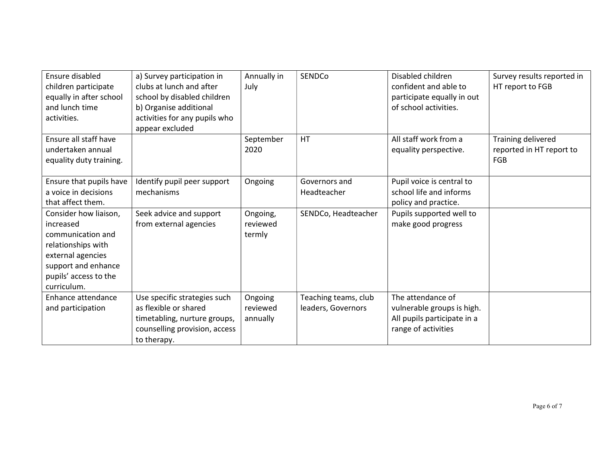| Ensure disabled<br>children participate<br>equally in after school<br>and lunch time<br>activities.                                                               | a) Survey participation in<br>clubs at lunch and after<br>school by disabled children<br>b) Organise additional<br>activities for any pupils who<br>appear excluded | Annually in<br>July             | SENDCo                                     | Disabled children<br>confident and able to<br>participate equally in out<br>of school activities.     | Survey results reported in<br>HT report to FGB        |
|-------------------------------------------------------------------------------------------------------------------------------------------------------------------|---------------------------------------------------------------------------------------------------------------------------------------------------------------------|---------------------------------|--------------------------------------------|-------------------------------------------------------------------------------------------------------|-------------------------------------------------------|
| Ensure all staff have<br>undertaken annual<br>equality duty training.                                                                                             |                                                                                                                                                                     | September<br>2020               | HT                                         | All staff work from a<br>equality perspective.                                                        | Training delivered<br>reported in HT report to<br>FGB |
| Ensure that pupils have<br>a voice in decisions<br>that affect them.                                                                                              | Identify pupil peer support<br>mechanisms                                                                                                                           | Ongoing                         | Governors and<br>Headteacher               | Pupil voice is central to<br>school life and informs<br>policy and practice.                          |                                                       |
| Consider how liaison,<br>increased<br>communication and<br>relationships with<br>external agencies<br>support and enhance<br>pupils' access to the<br>curriculum. | Seek advice and support<br>from external agencies                                                                                                                   | Ongoing,<br>reviewed<br>termly  | SENDCo, Headteacher                        | Pupils supported well to<br>make good progress                                                        |                                                       |
| Enhance attendance<br>and participation                                                                                                                           | Use specific strategies such<br>as flexible or shared<br>timetabling, nurture groups,<br>counselling provision, access<br>to therapy.                               | Ongoing<br>reviewed<br>annually | Teaching teams, club<br>leaders, Governors | The attendance of<br>vulnerable groups is high.<br>All pupils participate in a<br>range of activities |                                                       |